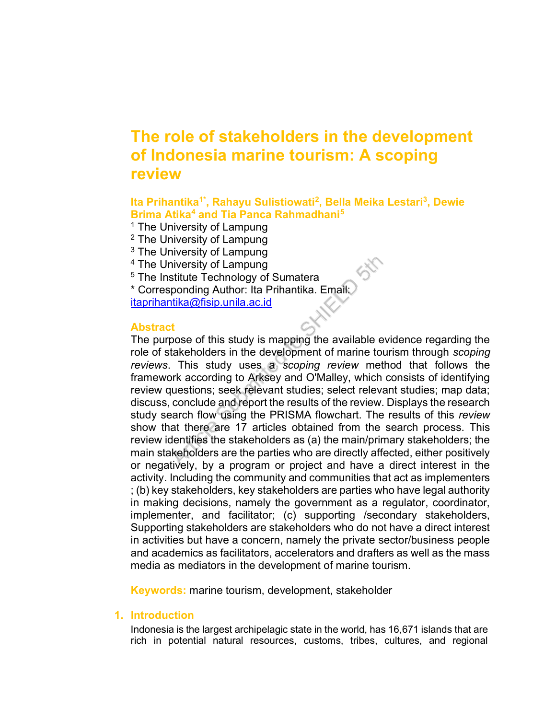# The role of stakeholders in the development of Indonesia marine tourism: A scoping review

lta Prihantika<sup>1\*</sup>, Rahayu Sulistiowati<sup>2</sup>, Bella Meika Lestari<sup>3</sup>, Dewie Brima Atika<sup>4</sup> and Tia Panca Rahmadhani<sup>5</sup>

54

- <sup>1</sup> The University of Lampung
- <sup>2</sup> The University of Lampung
- <sup>3</sup> The University of Lampung
- 4 The University of Lampung
- <sup>5</sup> The Institute Technology of Sumatera

\* Corresponding Author: Ita Prihantika. Email: itaprihantika@fisip.unila.ac.id

# **Abstract**

The purpose of this study is mapping the available evidence regarding the role of stakeholders in the development of marine tourism through scoping reviews. This study uses a scoping review method that follows the framework according to Arksey and O'Malley, which consists of identifying review questions; seek relevant studies; select relevant studies; map data; discuss, conclude and report the results of the review. Displays the research study search flow using the PRISMA flowchart. The results of this review show that there are 17 articles obtained from the search process. This review identifies the stakeholders as (a) the main/primary stakeholders; the main stakeholders are the parties who are directly affected, either positively or negatively, by a program or project and have a direct interest in the activity. Including the community and communities that act as implementers ; (b) key stakeholders, key stakeholders are parties who have legal authority in making decisions, namely the government as a regulator, coordinator, implementer, and facilitator; (c) supporting /secondary stakeholders, Supporting stakeholders are stakeholders who do not have a direct interest in activities but have a concern, namely the private sector/business people and academics as facilitators, accelerators and drafters as well as the mass media as mediators in the development of marine tourism.

Keywords: marine tourism, development, stakeholder

# 1. Introduction

Indonesia is the largest archipelagic state in the world, has 16,671 islands that are rich in potential natural resources, customs, tribes, cultures, and regional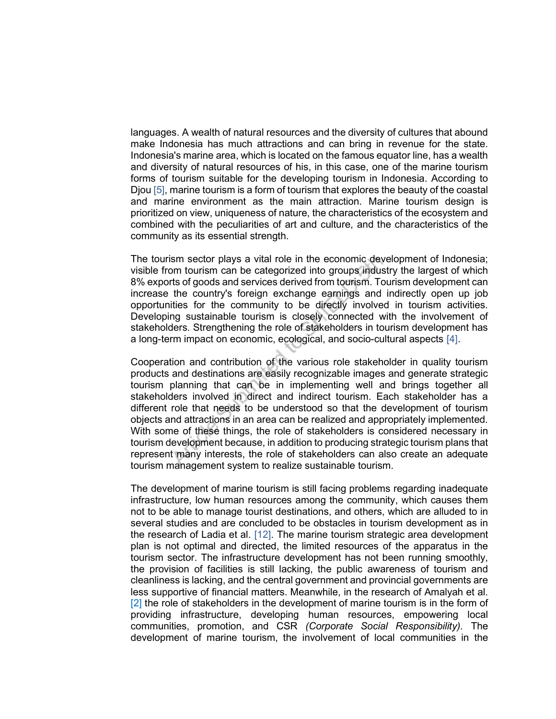languages. A wealth of natural resources and the diversity of cultures that abound make Indonesia has much attractions and can bring in revenue for the state. Indonesia's marine area, which is located on the famous equator line, has a wealth and diversity of natural resources of his, in this case, one of the marine tourism forms of tourism suitable for the developing tourism in Indonesia. According to Djou [5], marine tourism is a form of tourism that explores the beauty of the coastal and marine environment as the main attraction. Marine tourism design is prioritized on view, uniqueness of nature, the characteristics of the ecosystem and combined with the peculiarities of art and culture, and the characteristics of the community as its essential strength.

The tourism sector plays a vital role in the economic development of Indonesia; visible from tourism can be categorized into groups industry the largest of which 8% exports of goods and services derived from tourism. Tourism development can increase the country's foreign exchange earnings and indirectly open up job opportunities for the community to be directly involved in tourism activities. Developing sustainable tourism is closely connected with the involvement of stakeholders. Strengthening the role of stakeholders in tourism development has a long-term impact on economic, ecological, and socio-cultural aspects [4].

Cooperation and contribution of the various role stakeholder in quality tourism products and destinations are easily recognizable images and generate strategic tourism planning that can be in implementing well and brings together all stakeholders involved in direct and indirect tourism. Each stakeholder has a different role that needs to be understood so that the development of tourism objects and attractions in an area can be realized and appropriately implemented. With some of these things, the role of stakeholders is considered necessary in tourism development because, in addition to producing strategic tourism plans that represent many interests, the role of stakeholders can also create an adequate tourism management system to realize sustainable tourism.

The development of marine tourism is still facing problems regarding inadequate infrastructure, low human resources among the community, which causes them not to be able to manage tourist destinations, and others, which are alluded to in several studies and are concluded to be obstacles in tourism development as in the research of Ladia et al. [12]. The marine tourism strategic area development plan is not optimal and directed, the limited resources of the apparatus in the tourism sector. The infrastructure development has not been running smoothly, the provision of facilities is still lacking, the public awareness of tourism and cleanliness is lacking, and the central government and provincial governments are less supportive of financial matters. Meanwhile, in the research of Amalyah et al. [2] the role of stakeholders in the development of marine tourism is in the form of providing infrastructure, developing human resources, empowering local communities, promotion, and CSR (Corporate Social Responsibility). The development of marine tourism, the involvement of local communities in the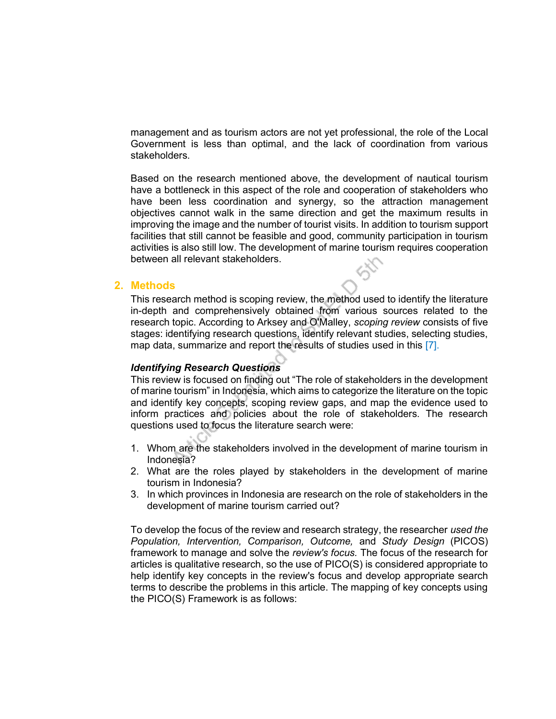management and as tourism actors are not yet professional, the role of the Local Government is less than optimal, and the lack of coordination from various stakeholders.

Based on the research mentioned above, the development of nautical tourism have a bottleneck in this aspect of the role and cooperation of stakeholders who have been less coordination and synergy, so the attraction management objectives cannot walk in the same direction and get the maximum results in improving the image and the number of tourist visits. In addition to tourism support facilities that still cannot be feasible and good, community participation in tourism activities is also still low. The development of marine tourism requires cooperation between all relevant stakeholders.

### 2. Methods

This research method is scoping review, the method used to identify the literature in-depth and comprehensively obtained from various sources related to the research topic. According to Arksey and O'Malley, scoping review consists of five stages: identifying research questions, identify relevant studies, selecting studies, map data, summarize and report the results of studies used in this [7].

### Identifying Research Questions

This review is focused on finding out "The role of stakeholders in the development of marine tourism" in Indonesia, which aims to categorize the literature on the topic and identify key concepts, scoping review gaps, and map the evidence used to inform practices and policies about the role of stakeholders. The research questions used to focus the literature search were:

- 1. Whom are the stakeholders involved in the development of marine tourism in Indonesia?
- 2. What are the roles played by stakeholders in the development of marine tourism in Indonesia?
- 3. In which provinces in Indonesia are research on the role of stakeholders in the development of marine tourism carried out?

To develop the focus of the review and research strategy, the researcher used the Population, Intervention, Comparison, Outcome, and Study Design (PICOS) framework to manage and solve the review's focus. The focus of the research for articles is qualitative research, so the use of PICO(S) is considered appropriate to help identify key concepts in the review's focus and develop appropriate search terms to describe the problems in this article. The mapping of key concepts using the PICO(S) Framework is as follows: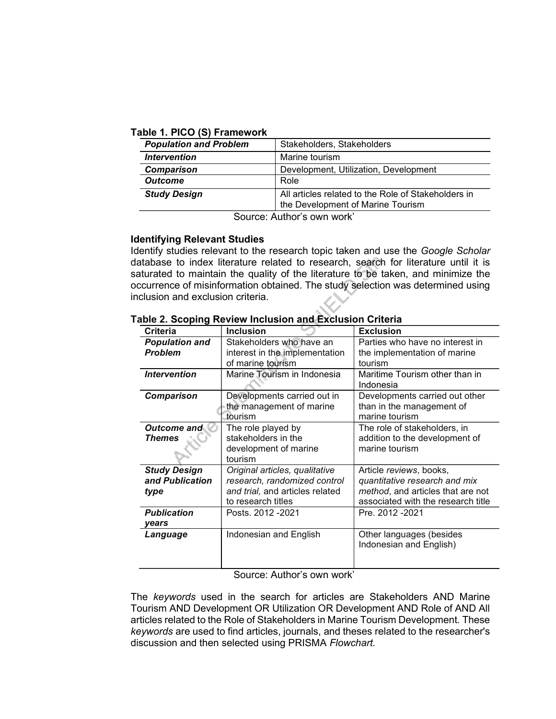# Table 1. PICO (S) Framework

| <b>Population and Problem</b>     | Stakeholders, Stakeholders                          |
|-----------------------------------|-----------------------------------------------------|
| <i><u><b>Intervention</b></u></i> | Marine tourism                                      |
| <b>Comparison</b>                 | Development, Utilization, Development               |
| <b>Outcome</b>                    | Role                                                |
| <b>Study Design</b>               | All articles related to the Role of Stakeholders in |
|                                   | the Development of Marine Tourism                   |

Source: Author's own work'

# Identifying Relevant Studies

Identify studies relevant to the research topic taken and use the Google Scholar database to index literature related to research, search for literature until it is saturated to maintain the quality of the literature to be taken, and minimize the occurrence of misinformation obtained. The study selection was determined using inclusion and exclusion criteria.

| <b>Criteria</b>                                | <b>Inclusion</b>                                                                                                        | <b>Exclusion</b>                                                                                                                    |
|------------------------------------------------|-------------------------------------------------------------------------------------------------------------------------|-------------------------------------------------------------------------------------------------------------------------------------|
| <b>Population and</b><br><b>Problem</b>        | Stakeholders who have an<br>interest in the implementation<br>of marine tourism                                         | Parties who have no interest in<br>the implementation of marine<br>tourism                                                          |
| <b>Intervention</b>                            | Marine Tourism in Indonesia                                                                                             | Maritime Tourism other than in<br>Indonesia                                                                                         |
| <b>Comparison</b>                              | Developments carried out in<br>the management of marine<br>tourism                                                      | Developments carried out other<br>than in the management of<br>marine tourism                                                       |
| <b>Outcome and</b><br>Themes                   | The role played by<br>stakeholders in the<br>development of marine<br>tourism                                           | The role of stakeholders, in<br>addition to the development of<br>marine tourism                                                    |
| <b>Study Design</b><br>and Publication<br>type | Original articles, qualitative<br>research, randomized control<br>and trial, and articles related<br>to research titles | Article reviews, books,<br>quantitative research and mix<br>method, and articles that are not<br>associated with the research title |
| <b>Publication</b><br>vears                    | Posts. 2012 - 2021                                                                                                      | Pre. 2012 - 2021                                                                                                                    |
| Language                                       | Indonesian and English                                                                                                  | Other languages (besides<br>Indonesian and English)                                                                                 |

# Table 2. Scoping Review Inclusion and Exclusion Criteria

Source: Author's own work'

The keywords used in the search for articles are Stakeholders AND Marine Tourism AND Development OR Utilization OR Development AND Role of AND All articles related to the Role of Stakeholders in Marine Tourism Development. These keywords are used to find articles, journals, and theses related to the researcher's discussion and then selected using PRISMA Flowchart.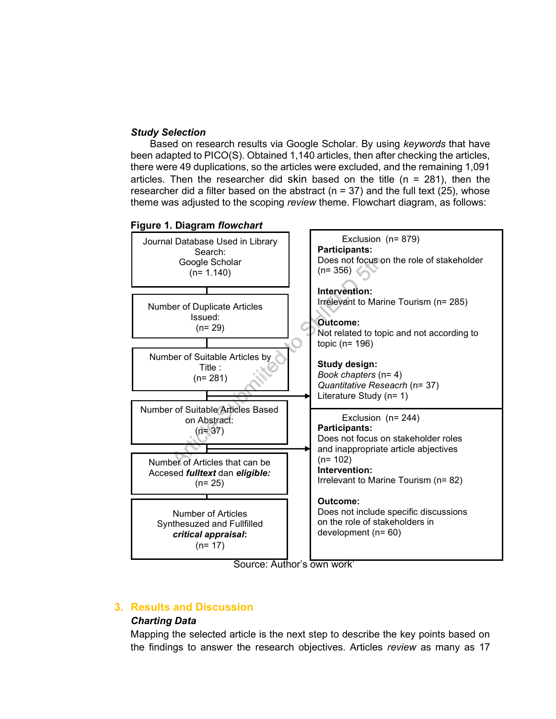# Study Selection

Based on research results via Google Scholar. By using keywords that have been adapted to PICO(S). Obtained 1,140 articles, then after checking the articles, there were 49 duplications, so the articles were excluded, and the remaining 1,091 articles. Then the researcher did skin based on the title  $(n = 281)$ , then the researcher did a filter based on the abstract ( $n = 37$ ) and the full text (25), whose theme was adjusted to the scoping review theme. Flowchart diagram, as follows:



Source: Author's own work'

# 3. Results and Discussion

# Charting Data

Mapping the selected article is the next step to describe the key points based on the findings to answer the research objectives. Articles review as many as 17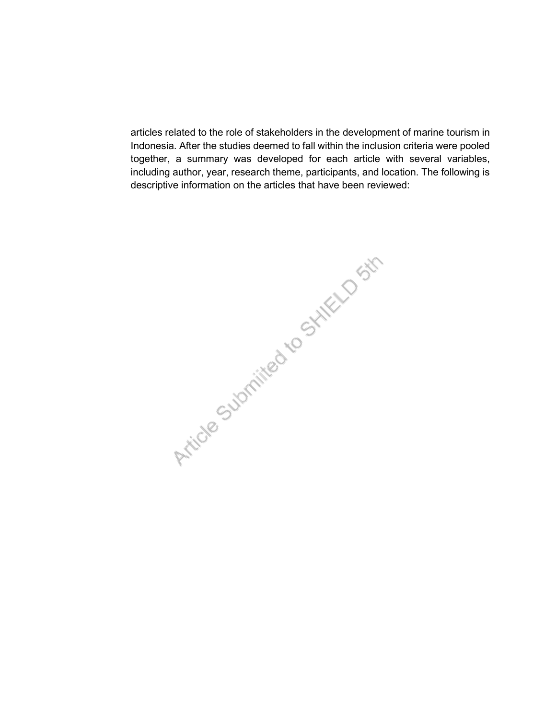articles related to the role of stakeholders in the development of marine tourism in Indonesia. After the studies deemed to fall within the inclusion criteria were pooled together, a summary was developed for each article with several variables, including author, year, research theme, participants, and location. The following is descriptive information on the articles that have been reviewed:

Article Submitted to Stike D Str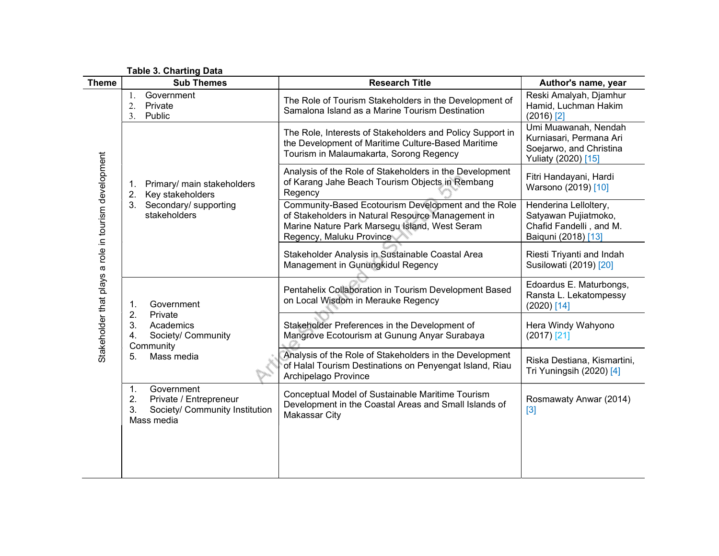Table 3. Charting Data

| <b>Theme</b>                                         | <b>Sub Themes</b><br><b>Research Title</b>                                                                        |                                                                                                                                                                                       | Author's name, year                                                                               |  |
|------------------------------------------------------|-------------------------------------------------------------------------------------------------------------------|---------------------------------------------------------------------------------------------------------------------------------------------------------------------------------------|---------------------------------------------------------------------------------------------------|--|
| Stakeholder that plays a role in tourism development | Government<br>1.<br>Private<br>2.<br>Public<br>3.                                                                 | The Role of Tourism Stakeholders in the Development of<br>Samalona Island as a Marine Tourism Destination                                                                             | Reski Amalyah, Djamhur<br>Hamid, Luchman Hakim<br>$(2016)$ <sup>[2]</sup>                         |  |
|                                                      |                                                                                                                   | The Role, Interests of Stakeholders and Policy Support in<br>the Development of Maritime Culture-Based Maritime<br>Tourism in Malaumakarta, Sorong Regency                            | Umi Muawanah, Nendah<br>Kurniasari, Permana Ari<br>Soejarwo, and Christina<br>Yuliaty (2020) [15] |  |
|                                                      | Primary/ main stakeholders<br>1.<br>Key stakeholders<br>2.                                                        | Analysis of the Role of Stakeholders in the Development<br>of Karang Jahe Beach Tourism Objects in Rembang<br>Regency                                                                 | Fitri Handayani, Hardi<br>Warsono (2019) [10]                                                     |  |
|                                                      | Secondary/ supporting<br>3.<br>stakeholders                                                                       | Community-Based Ecotourism Development and the Role<br>of Stakeholders in Natural Resource Management in<br>Marine Nature Park Marsegu Island, West Seram<br>Regency, Maluku Province | Henderina Lelloltery,<br>Satyawan Pujiatmoko,<br>Chafid Fandelli, and M.<br>Baiquni (2018) [13]   |  |
|                                                      |                                                                                                                   | Stakeholder Analysis in Sustainable Coastal Area<br>Management in Gunungkidul Regency                                                                                                 | Riesti Triyanti and Indah<br>Susilowati (2019) [20]                                               |  |
|                                                      | Government<br>1.<br>2.<br>Private<br>3.<br>Academics<br>Society/ Community<br>4.<br>Community<br>Mass media<br>5. | Pentahelix Collaboration in Tourism Development Based<br>on Local Wisdom in Merauke Regency                                                                                           | Edoardus E. Maturbongs,<br>Ransta L. Lekatompessy<br>$(2020)$ [14]                                |  |
|                                                      |                                                                                                                   | Stakeholder Preferences in the Development of<br>Mangrove Ecotourism at Gunung Anyar Surabaya                                                                                         | Hera Windy Wahyono<br>$(2017)$ [21]                                                               |  |
|                                                      |                                                                                                                   | Analysis of the Role of Stakeholders in the Development<br>of Halal Tourism Destinations on Penyengat Island, Riau<br>Archipelago Province                                            | Riska Destiana, Kismartini,<br>Tri Yuningsih (2020) [4]                                           |  |
|                                                      | Government<br>1.<br>2.<br>Private / Entrepreneur<br>Society/ Community Institution<br>3.<br>Mass media            | Conceptual Model of Sustainable Maritime Tourism<br>Development in the Coastal Areas and Small Islands of<br><b>Makassar City</b>                                                     | Rosmawaty Anwar (2014)<br>$[3]$                                                                   |  |
|                                                      |                                                                                                                   |                                                                                                                                                                                       |                                                                                                   |  |
|                                                      |                                                                                                                   |                                                                                                                                                                                       |                                                                                                   |  |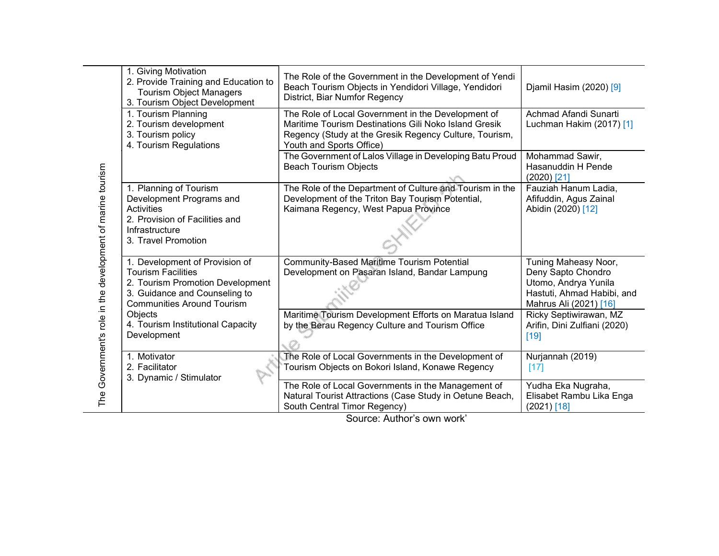| 1. Giving Motivation<br>2. Provide Training and Education to<br><b>Tourism Object Managers</b><br>3. Tourism Object Development                                       | The Role of the Government in the Development of Yendi<br>Beach Tourism Objects in Yendidori Village, Yendidori<br>District, Biar Numfor Regency                      | Djamil Hasim (2020) [9]                                                                                                    |
|-----------------------------------------------------------------------------------------------------------------------------------------------------------------------|-----------------------------------------------------------------------------------------------------------------------------------------------------------------------|----------------------------------------------------------------------------------------------------------------------------|
| 1. Tourism Planning<br>2. Tourism development<br>3. Tourism policy<br>4. Tourism Regulations                                                                          | The Role of Local Government in the Development of<br>Maritime Tourism Destinations Gili Noko Island Gresik<br>Regency (Study at the Gresik Regency Culture, Tourism, | Achmad Afandi Sunarti<br>Luchman Hakim (2017) [1]                                                                          |
|                                                                                                                                                                       | The Government of Lalos Village in Developing Batu Proud<br><b>Beach Tourism Objects</b>                                                                              | Mohammad Sawir,<br>Hasanuddin H Pende<br>$(2020)$ [21]                                                                     |
| 1. Planning of Tourism<br>Development Programs and<br><b>Activities</b><br>2. Provision of Facilities and<br>Infrastructure<br>3. Travel Promotion                    | Development of the Triton Bay Tourism Potential,<br>Kaimana Regency, West Papua Province                                                                              | Fauziah Hanum Ladia,<br>Afifuddin, Agus Zainal<br>Abidin (2020) [12]                                                       |
| 1. Development of Provision of<br><b>Tourism Facilities</b><br>2. Tourism Promotion Development<br>3. Guidance and Counseling to<br><b>Communities Around Tourism</b> | Community-Based Maritime Tourism Potential<br>Development on Pasaran Island, Bandar Lampung                                                                           | Tuning Maheasy Noor,<br>Deny Sapto Chondro<br>Utomo, Andrya Yunila<br>Hastuti, Ahmad Habibi, and<br>Mahrus Ali (2021) [16] |
| Objects<br>4. Tourism Institutional Capacity<br>Development                                                                                                           | Maritime Tourism Development Efforts on Maratua Island<br>by the Berau Regency Culture and Tourism Office                                                             | Ricky Septiwirawan, MZ<br>Arifin, Dini Zulfiani (2020)<br>[19]                                                             |
| 1. Motivator<br>2. Facilitator                                                                                                                                        | The Role of Local Governments in the Development of<br>Tourism Objects on Bokori Island, Konawe Regency                                                               | Nurjannah (2019)<br>$[17]$                                                                                                 |
|                                                                                                                                                                       | The Role of Local Governments in the Management of<br>Natural Tourist Attractions (Case Study in Oetune Beach,<br>South Central Timor Regency)                        | Yudha Eka Nugraha,<br>Elisabet Rambu Lika Enga<br>$(2021)$ [18]                                                            |
|                                                                                                                                                                       | 3. Dynamic / Stimulator                                                                                                                                               | Youth and Sports Office)<br>The Role of the Department of Culture and Tourism in the                                       |

Source: Author's own work'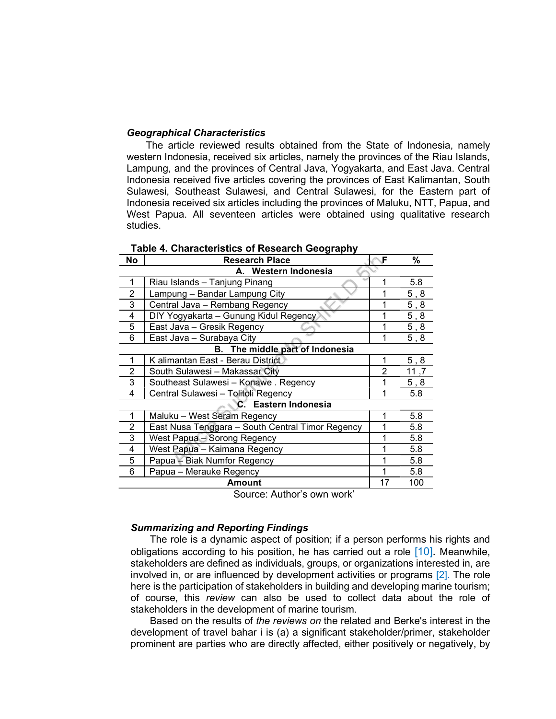### Geographical Characteristics

The article reviewed results obtained from the State of Indonesia, namely western Indonesia, received six articles, namely the provinces of the Riau Islands, Lampung, and the provinces of Central Java, Yogyakarta, and East Java. Central Indonesia received five articles covering the provinces of East Kalimantan, South Sulawesi, Southeast Sulawesi, and Central Sulawesi, for the Eastern part of Indonesia received six articles including the provinces of Maluku, NTT, Papua, and West Papua. All seventeen articles were obtained using qualitative research studies.

| No                              | <b>Research Place</b>                            | F  | %         |  |
|---------------------------------|--------------------------------------------------|----|-----------|--|
| A. Western Indonesia            |                                                  |    |           |  |
| 1                               | Riau Islands - Tanjung Pinang                    |    | 5.8       |  |
| $\overline{2}$                  | Lampung - Bandar Lampung City                    |    | 5, 8      |  |
| 3                               | Central Java - Rembang Regency                   |    | $5,8$     |  |
| 4                               | DIY Yogyakarta - Gunung Kidul Regency            |    | 5, 8      |  |
| 5                               | East Java - Gresik Regency                       |    | 5, 8      |  |
| 6                               | East Java - Surabaya City                        |    | $5$ , $8$ |  |
| B. The middle part of Indonesia |                                                  |    |           |  |
| 1                               | K alimantan East - Berau District                | 1  | $5, 8$    |  |
| 2                               | South Sulawesi - Makassar City                   | 2  | 11,7      |  |
| 3                               | Southeast Sulawesi - Konawe . Regency            |    | $5,8$     |  |
| 4                               | Central Sulawesi - Tolitoli Regency              | 1  | 5.8       |  |
| C. Eastern Indonesia            |                                                  |    |           |  |
|                                 | Maluku - West Seram Regency                      |    | 5.8       |  |
| $\overline{2}$                  | East Nusa Tenggara - South Central Timor Regency |    | 5.8       |  |
| 3                               | West Papua - Sorong Regency                      |    | 5.8       |  |
| 4                               | West Papua - Kaimana Regency                     |    | 5.8       |  |
| 5                               | Papua – Biak Numfor Regency                      |    | 5.8       |  |
| 6                               | Papua – Merauke Regency                          |    | 5.8       |  |
|                                 | Amount                                           | 17 | 100       |  |

#### Table 4. Characteristics of Research Geography

Source: Author's own work'

#### Summarizing and Reporting Findings

The role is a dynamic aspect of position; if a person performs his rights and obligations according to his position, he has carried out a role [10]. Meanwhile, stakeholders are defined as individuals, groups, or organizations interested in, are involved in, or are influenced by development activities or programs [2]. The role here is the participation of stakeholders in building and developing marine tourism; of course, this review can also be used to collect data about the role of stakeholders in the development of marine tourism.

Based on the results of the reviews on the related and Berke's interest in the development of travel bahar i is (a) a significant stakeholder/primer, stakeholder prominent are parties who are directly affected, either positively or negatively, by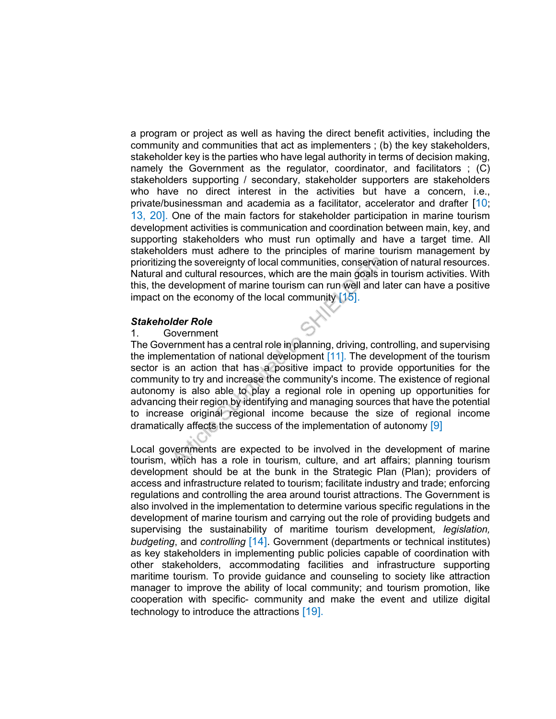a program or project as well as having the direct benefit activities, including the community and communities that act as implementers ; (b) the key stakeholders, stakeholder key is the parties who have legal authority in terms of decision making, namely the Government as the regulator, coordinator, and facilitators ; (C) stakeholders supporting / secondary, stakeholder supporters are stakeholders who have no direct interest in the activities but have a concern, i.e., private/businessman and academia as a facilitator, accelerator and drafter [10; 13, 20]. One of the main factors for stakeholder participation in marine tourism development activities is communication and coordination between main, key, and supporting stakeholders who must run optimally and have a target time. All stakeholders must adhere to the principles of marine tourism management by prioritizing the sovereignty of local communities, conservation of natural resources. Natural and cultural resources, which are the main goals in tourism activities. With this, the development of marine tourism can run well and later can have a positive impact on the economy of the local community  $[15]$ .

### Stakeholder Role

#### 1. Government

The Government has a central role in planning, driving, controlling, and supervising the implementation of national development [11]. The development of the tourism sector is an action that has a positive impact to provide opportunities for the community to try and increase the community's income. The existence of regional autonomy is also able to play a regional role in opening up opportunities for advancing their region by identifying and managing sources that have the potential to increase original regional income because the size of regional income dramatically affects the success of the implementation of autonomy  $[9]$ 

Local governments are expected to be involved in the development of marine tourism, which has a role in tourism, culture, and art affairs; planning tourism development should be at the bunk in the Strategic Plan (Plan); providers of access and infrastructure related to tourism; facilitate industry and trade; enforcing regulations and controlling the area around tourist attractions. The Government is also involved in the implementation to determine various specific regulations in the development of marine tourism and carrying out the role of providing budgets and supervising the sustainability of maritime tourism development, *legislation*, budgeting, and controlling [14]. Government (departments or technical institutes) as key stakeholders in implementing public policies capable of coordination with other stakeholders, accommodating facilities and infrastructure supporting maritime tourism. To provide guidance and counseling to society like attraction manager to improve the ability of local community; and tourism promotion, like cooperation with specific- community and make the event and utilize digital technology to introduce the attractions [19].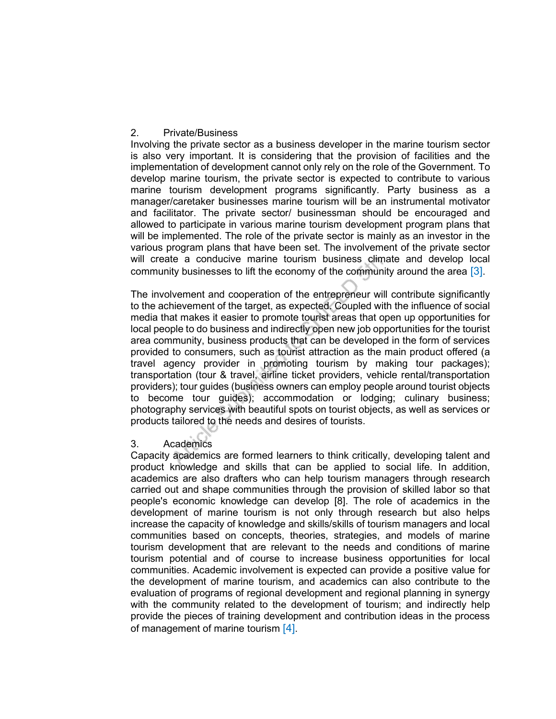# 2. Private/Business

Involving the private sector as a business developer in the marine tourism sector is also very important. It is considering that the provision of facilities and the implementation of development cannot only rely on the role of the Government. To develop marine tourism, the private sector is expected to contribute to various marine tourism development programs significantly. Party business as a manager/caretaker businesses marine tourism will be an instrumental motivator and facilitator. The private sector/ businessman should be encouraged and allowed to participate in various marine tourism development program plans that will be implemented. The role of the private sector is mainly as an investor in the various program plans that have been set. The involvement of the private sector will create a conducive marine tourism business climate and develop local community businesses to lift the economy of the community around the area [3].

The involvement and cooperation of the entrepreneur will contribute significantly to the achievement of the target, as expected. Coupled with the influence of social media that makes it easier to promote tourist areas that open up opportunities for local people to do business and indirectly open new job opportunities for the tourist area community, business products that can be developed in the form of services provided to consumers, such as tourist attraction as the main product offered (a travel agency provider in promoting tourism by making tour packages); transportation (tour & travel, airline ticket providers, vehicle rental/transportation providers); tour guides (business owners can employ people around tourist objects to become tour guides); accommodation or lodging; culinary business; photography services with beautiful spots on tourist objects, as well as services or products tailored to the needs and desires of tourists.

# 3. Academics

Capacity academics are formed learners to think critically, developing talent and product knowledge and skills that can be applied to social life. In addition, academics are also drafters who can help tourism managers through research carried out and shape communities through the provision of skilled labor so that people's economic knowledge can develop [8]. The role of academics in the development of marine tourism is not only through research but also helps increase the capacity of knowledge and skills/skills of tourism managers and local communities based on concepts, theories, strategies, and models of marine tourism development that are relevant to the needs and conditions of marine tourism potential and of course to increase business opportunities for local communities. Academic involvement is expected can provide a positive value for the development of marine tourism, and academics can also contribute to the evaluation of programs of regional development and regional planning in synergy with the community related to the development of tourism; and indirectly help provide the pieces of training development and contribution ideas in the process of management of marine tourism [4].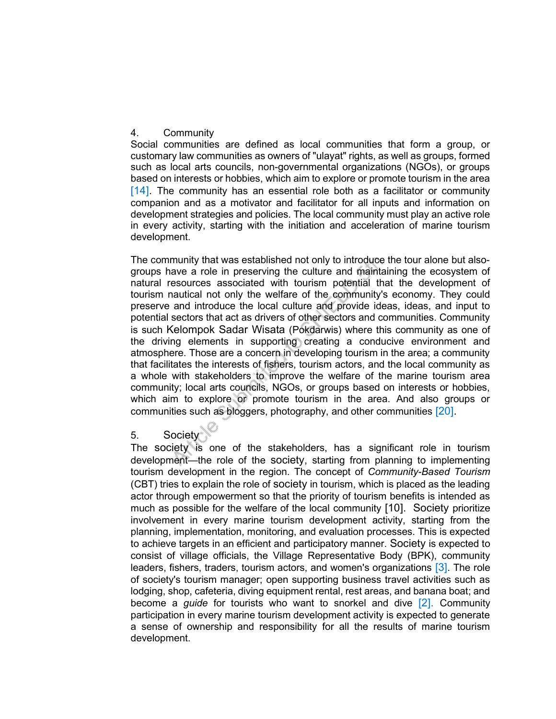# 4. Community

Social communities are defined as local communities that form a group, or customary law communities as owners of "ulayat" rights, as well as groups, formed such as local arts councils, non-governmental organizations (NGOs), or groups based on interests or hobbies, which aim to explore or promote tourism in the area [14]. The community has an essential role both as a facilitator or community companion and as a motivator and facilitator for all inputs and information on development strategies and policies. The local community must play an active role in every activity, starting with the initiation and acceleration of marine tourism development.

The community that was established not only to introduce the tour alone but alsogroups have a role in preserving the culture and maintaining the ecosystem of natural resources associated with tourism potential that the development of tourism nautical not only the welfare of the community's economy. They could preserve and introduce the local culture and provide ideas, ideas, and input to potential sectors that act as drivers of other sectors and communities. Community is such Kelompok Sadar Wisata (Pokdarwis) where this community as one of the driving elements in supporting creating a conducive environment and atmosphere. Those are a concern in developing tourism in the area; a community that facilitates the interests of fishers, tourism actors, and the local community as a whole with stakeholders to improve the welfare of the marine tourism area community; local arts councils, NGOs, or groups based on interests or hobbies, which aim to explore or promote tourism in the area. And also groups or communities such as bloggers, photography, and other communities [20].

# 5. Society

The society is one of the stakeholders, has a significant role in tourism development—the role of the society, starting from planning to implementing tourism development in the region. The concept of Community-Based Tourism (CBT) tries to explain the role of society in tourism, which is placed as the leading actor through empowerment so that the priority of tourism benefits is intended as much as possible for the welfare of the local community [10]. Society prioritize involvement in every marine tourism development activity, starting from the planning, implementation, monitoring, and evaluation processes. This is expected to achieve targets in an efficient and participatory manner. Society is expected to consist of village officials, the Village Representative Body (BPK), community leaders, fishers, traders, tourism actors, and women's organizations [3]. The role of society's tourism manager; open supporting business travel activities such as lodging, shop, cafeteria, diving equipment rental, rest areas, and banana boat; and become a *quide* for tourists who want to snorkel and dive  $[2]$ . Community participation in every marine tourism development activity is expected to generate a sense of ownership and responsibility for all the results of marine tourism development.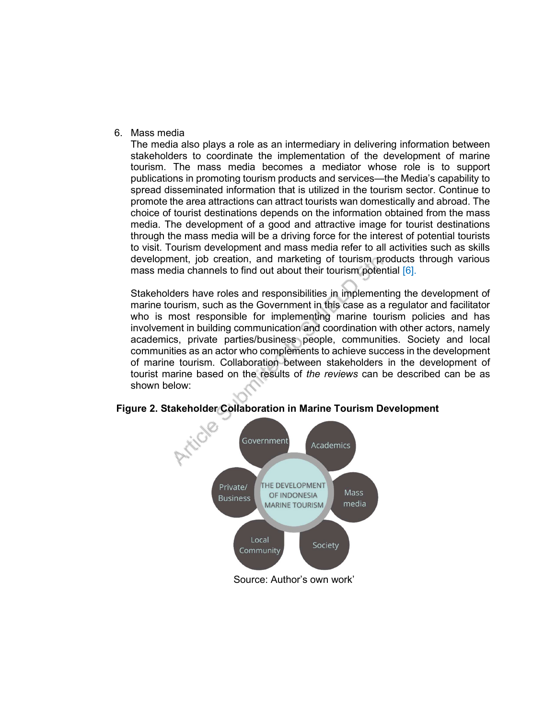6. Mass media

The media also plays a role as an intermediary in delivering information between stakeholders to coordinate the implementation of the development of marine tourism. The mass media becomes a mediator whose role is to support publications in promoting tourism products and services—the Media's capability to spread disseminated information that is utilized in the tourism sector. Continue to promote the area attractions can attract tourists wan domestically and abroad. The choice of tourist destinations depends on the information obtained from the mass media. The development of a good and attractive image for tourist destinations through the mass media will be a driving force for the interest of potential tourists to visit. Tourism development and mass media refer to all activities such as skills development, job creation, and marketing of tourism products through various mass media channels to find out about their tourism potential [6].

Stakeholders have roles and responsibilities in implementing the development of marine tourism, such as the Government in this case as a regulator and facilitator who is most responsible for implementing marine tourism policies and has involvement in building communication and coordination with other actors, namely academics, private parties/business people, communities. Society and local communities as an actor who complements to achieve success in the development of marine tourism. Collaboration between stakeholders in the development of tourist marine based on the results of the reviews can be described can be as shown below:



# Figure 2. Stakeholder Collaboration in Marine Tourism Development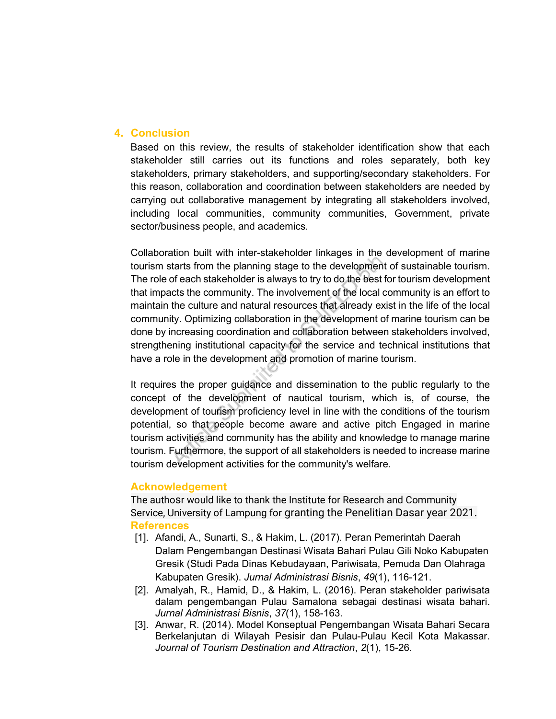# 4. Conclusion

Based on this review, the results of stakeholder identification show that each stakeholder still carries out its functions and roles separately, both key stakeholders, primary stakeholders, and supporting/secondary stakeholders. For this reason, collaboration and coordination between stakeholders are needed by carrying out collaborative management by integrating all stakeholders involved, including local communities, community communities, Government, private sector/business people, and academics.

Collaboration built with inter-stakeholder linkages in the development of marine tourism starts from the planning stage to the development of sustainable tourism. The role of each stakeholder is always to try to do the best for tourism development that impacts the community. The involvement of the local community is an effort to maintain the culture and natural resources that already exist in the life of the local community. Optimizing collaboration in the development of marine tourism can be done by increasing coordination and collaboration between stakeholders involved, strengthening institutional capacity for the service and technical institutions that have a role in the development and promotion of marine tourism.

It requires the proper guidance and dissemination to the public regularly to the concept of the development of nautical tourism, which is, of course, the development of tourism proficiency level in line with the conditions of the tourism potential, so that people become aware and active pitch Engaged in marine tourism activities and community has the ability and knowledge to manage marine tourism. Furthermore, the support of all stakeholders is needed to increase marine tourism development activities for the community's welfare.

# Acknowledgement

The authosr would like to thank the Institute for Research and Community Service, University of Lampung for granting the Penelitian Dasar year 2021. **References** 

- [1]. Afandi, A., Sunarti, S., & Hakim, L. (2017). Peran Pemerintah Daerah Dalam Pengembangan Destinasi Wisata Bahari Pulau Gili Noko Kabupaten Gresik (Studi Pada Dinas Kebudayaan, Pariwisata, Pemuda Dan Olahraga Kabupaten Gresik). Jurnal Administrasi Bisnis, 49(1), 116-121.
- [2]. Amalyah, R., Hamid, D., & Hakim, L. (2016). Peran stakeholder pariwisata dalam pengembangan Pulau Samalona sebagai destinasi wisata bahari. Jurnal Administrasi Bisnis, 37(1), 158-163.
- [3]. Anwar, R. (2014). Model Konseptual Pengembangan Wisata Bahari Secara Berkelanjutan di Wilayah Pesisir dan Pulau-Pulau Kecil Kota Makassar. Journal of Tourism Destination and Attraction, 2(1), 15-26.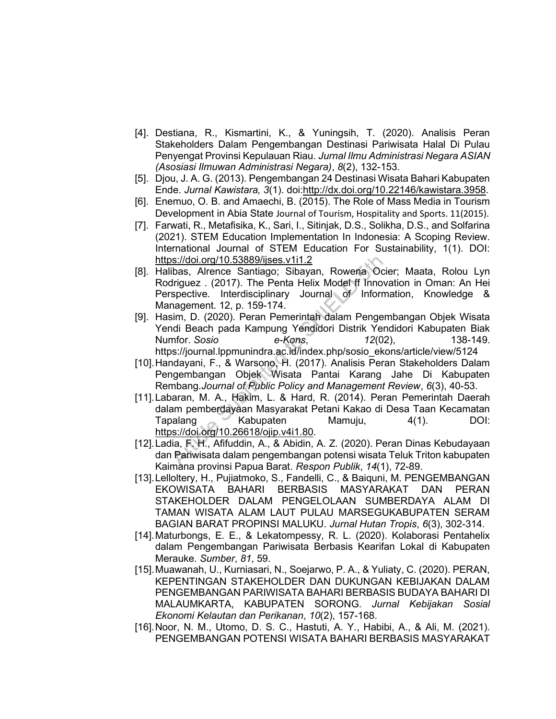- [4]. Destiana, R., Kismartini, K., & Yuningsih, T. (2020). Analisis Peran Stakeholders Dalam Pengembangan Destinasi Pariwisata Halal Di Pulau Penyengat Provinsi Kepulauan Riau. Jurnal Ilmu Administrasi Negara ASIAN (Asosiasi Ilmuwan Administrasi Negara), 8(2), 132-153.
- [5]. Djou, J. A. G. (2013). Pengembangan 24 Destinasi Wisata Bahari Kabupaten Ende. Jurnal Kawistara, 3(1). doi:http://dx.doi.org/10.22146/kawistara.3958.
- [6]. Enemuo, O. B. and Amaechi, B. (2015). The Role of Mass Media in Tourism Development in Abia State Journal of Tourism, Hospitality and Sports. 11(2015).
- [7]. Farwati, R., Metafisika, K., Sari, I., Sitinjak, D.S., Solikha, D.S., and Solfarina (2021). STEM Education Implementation In Indonesia: A Scoping Review. International Journal of STEM Education For Sustainability, 1(1). DOI: https://doi.org/10.53889/ijses.v1i1.2
- [8]. Halibas, Alrence Santiago; Sibayan, Rowena Ocier; Maata, Rolou Lyn Rodriguez . (2017). The Penta Helix Model ff Innovation in Oman: An Hei Perspective. Interdisciplinary Journal of Information, Knowledge & Management. 12, p. 159-174.
- [9]. Hasim, D. (2020). Peran Pemerintah dalam Pengembangan Objek Wisata Yendi Beach pada Kampung Yendidori Distrik Yendidori Kabupaten Biak Numfor. Sosio e-Kons, 12(02), 138-149. https://journal.lppmunindra.ac.id/index.php/sosio\_ekons/article/view/5124
- [10]. Handayani, F., & Warsono, H. (2017). Analisis Peran Stakeholders Dalam Pengembangan Objek Wisata Pantai Karang Jahe Di Kabupaten Rembang.Journal of Public Policy and Management Review, 6(3), 40-53.
- [11]. Labaran, M. A., Hakim, L. & Hard, R. (2014). Peran Pemerintah Daerah dalam pemberdayaan Masyarakat Petani Kakao di Desa Taan Kecamatan Tapalang Kabupaten Mamuju, 4(1). DOI: https://doi.org/10.26618/ojip.v4i1.80.
- [12]. Ladia, F. H., Afifuddin, A., & Abidin, A. Z. (2020). Peran Dinas Kebudayaan dan Pariwisata dalam pengembangan potensi wisata Teluk Triton kabupaten Kaimana provinsi Papua Barat. Respon Publik, 14(1), 72-89.
- [13]. Lelloltery, H., Pujiatmoko, S., Fandelli, C., & Baiquni, M. PENGEMBANGAN EKOWISATA BAHARI BERBASIS MASYARAKAT DAN PERAN STAKEHOLDER DALAM PENGELOLAAN SUMBERDAYA ALAM DI TAMAN WISATA ALAM LAUT PULAU MARSEGUKABUPATEN SERAM BAGIAN BARAT PROPINSI MALUKU. Jurnal Hutan Tropis, 6(3), 302-314.
- [14]. Maturbongs, E. E., & Lekatompessy, R. L. (2020). Kolaborasi Pentahelix dalam Pengembangan Pariwisata Berbasis Kearifan Lokal di Kabupaten Merauke. Sumber, 81, 59.
- [15]. Muawanah, U., Kurniasari, N., Soejarwo, P. A., & Yuliaty, C. (2020). PERAN, KEPENTINGAN STAKEHOLDER DAN DUKUNGAN KEBIJAKAN DALAM PENGEMBANGAN PARIWISATA BAHARI BERBASIS BUDAYA BAHARI DI MALAUMKARTA, KABUPATEN SORONG. Jurnal Kebijakan Sosial Ekonomi Kelautan dan Perikanan, 10(2), 157-168.
- [16]. Noor, N. M., Utomo, D. S. C., Hastuti, A. Y., Habibi, A., & Ali, M. (2021). PENGEMBANGAN POTENSI WISATA BAHARI BERBASIS MASYARAKAT